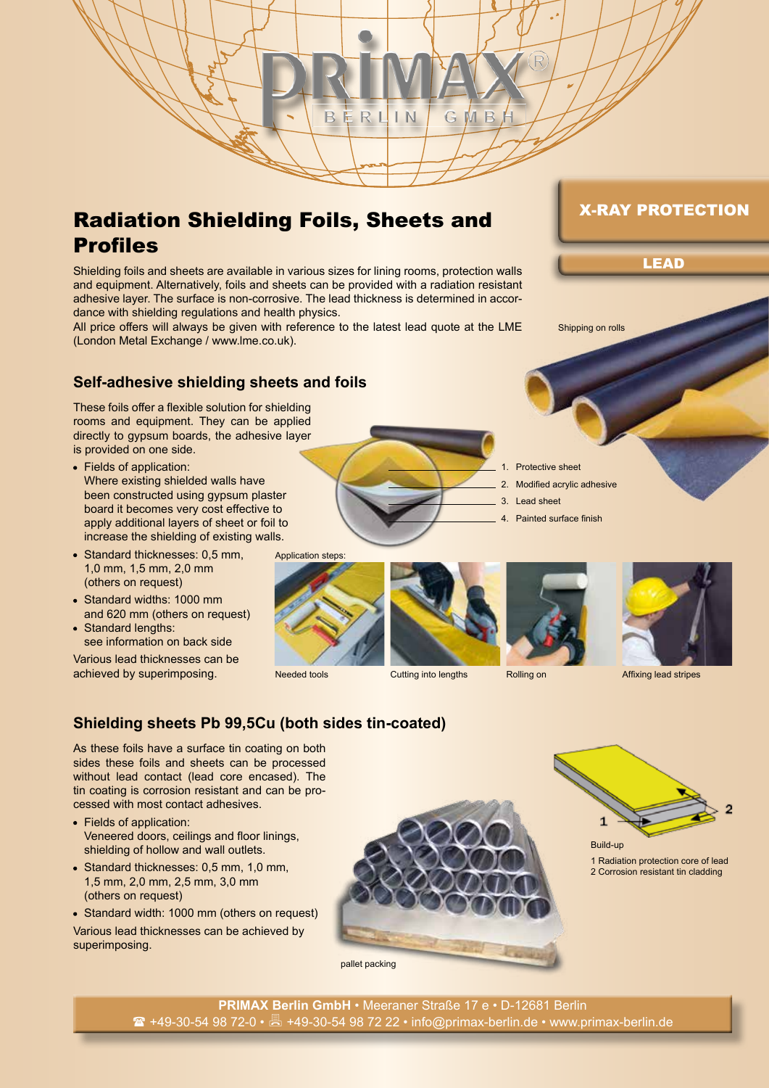

Shielding foils and sheets are available in various sizes for lining rooms, protection walls and equipment. Alternatively, foils and sheets can be provided with a radiation resistant adhesive layer. The surface is non-corrosive. The lead thickness is determined in accordance with shielding regulations and health physics.

BERL

 $IN$ 

All price offers will always be given with reference to the latest lead quote at the LME (London Metal Exchange / www.lme.co.uk).

## **Self-adhesive shielding sheets and foils**

These foils offer a flexible solution for shielding rooms and equipment. They can be applied directly to gypsum boards, the adhesive layer is provided on one side.

- Fields of application: Where existing shielded walls have been constructed using gypsum plaster board it becomes very cost effective to apply additional layers of sheet or foil to increase the shielding of existing walls.
- Standard thicknesses: 0,5 mm, 1,0 mm, 1,5 mm, 2,0 mm (others on request)
- Standard widths: 1000 mm and 620 mm (others on request)
- Standard lengths: see information on back side

Various lead thicknesses can be achieved by superimposing.

Application steps:











Needed tools **Cutting into lengths** Rolling on Affixing lead stripes

# **Shielding sheets Pb 99,5Cu (both sides tin-coated)**

As these foils have a surface tin coating on both sides these foils and sheets can be processed without lead contact (lead core encased). The tin coating is corrosion resistant and can be processed with most contact adhesives.

- Fields of application: Veneered doors, ceilings and floor linings, shielding of hollow and wall outlets.
- Standard thicknesses: 0,5 mm, 1,0 mm, 1,5 mm, 2,0 mm, 2,5 mm, 3,0 mm (others on request)
- Standard width: 1000 mm (others on request) Various lead thicknesses can be achieved by superimposing.



1 Radiation protection core of lead 2 Corrosion resistant tin cladding

Shipping on rolls

MВ

G

LEAD

X-RAY PROTECTION

Protective sheet

- 2. Modified acrylic adhesive
- 3. Lead sheet
- 4. Painted surface finish